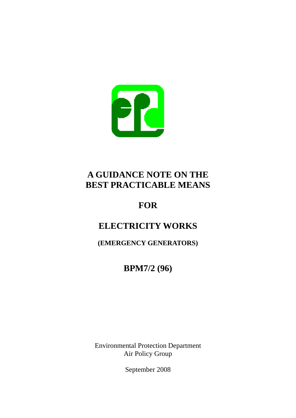

# **A GUIDANCE NOTE ON THE BEST PRACTICABLE MEANS**

# **FOR**

# **ELECTRICITY WORKS**

**(EMERGENCY GENERATORS)** 

**BPM7/2 (96)** 

Environmental Protection Department Air Policy Group

September 2008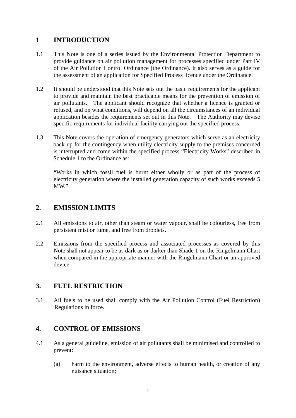## **1 INTRODUCTION**

- 1.1 This Note is one of a series issued by the Environmental Protection Department to provide guidance on air pollution management for processes specified under Part IV of the Air Pollution Control Ordinance (the Ordinance). It also serves as a guide for the assessment of an application for Specified Process licence under the Ordinance.
- 1.2 It should be understood that this Note sets out the basic requirements for the applicant to provide and maintain the best practicable means for the prevention of emission of air pollutants. The applicant should recognize that whether a licence is granted or refused, and on what conditions, will depend on all the circumstances of an individual application besides the requirements set out in this Note. The Authority may devise specific requirements for individual facility carrying out the specified process.
- 1.3 This Note covers the operation of emergency generators which serve as an electricity back-up for the contingency when utility electricity supply to the premises concerned is interrupted and come within the specified process "Electricity Works" described in Schedule 1 to the Ordinance as:

"Works in which fossil fuel is burnt either wholly or as part of the process of electricity generation where the installed generation capacity of such works exceeds 5 MW."

## **2. EMISSION LIMITS**

- $2.1$ All emissions to air, other than steam or water vapour, shall be colourless, free from persistent mist or fume, and free from droplets.
- 2.2 Emissions from the specified process and associated processes as covered by this Note shall not appear to be as dark as or darker than Shade 1 on the Ringelmann Chart when compared in the appropriate manner with the Ringelmann Chart or an approved device.

## **3. FUEL RESTRICTION**

3.1 All fuels to be used shall comply with the Air Pollution Control (Fuel Restriction) Regulations in force.

## **4. CONTROL OF EMISSIONS**

- $4.1$ As a general guideline, emission of air pollutants shall be minimised and controlled to prevent:
	- (a) harm to the environment, adverse effects to human health, or creation of any nuisance situation;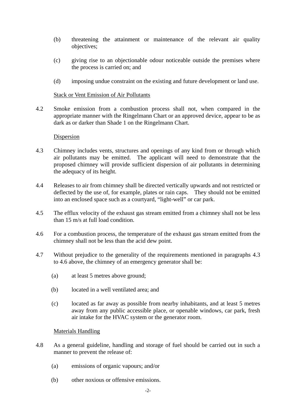- (b) threatening the attainment or maintenance of the relevant air quality objectives;
- (c) giving rise to an objectionable odour noticeable outside the premises where the process is carried on; and
- (d) imposing undue constraint on the existing and future development or land use.

#### Stack or Vent Emission of Air Pollutants

 $4.2$ Smoke emission from a combustion process shall not, when compared in the appropriate manner with the Ringelmann Chart or an approved device, appear to be as dark as or darker than Shade 1 on the Ringelmann Chart.

#### **Dispersion**

- 43 Chimney includes vents, structures and openings of any kind from or through which air pollutants may be emitted. The applicant will need to demonstrate that the proposed chimney will provide sufficient dispersion of air pollutants in determining the adequacy of its height.
- $4.4$ Releases to air from chimney shall be directed vertically upwards and not restricted or deflected by the use of, for example, plates or rain caps. They should not be emitted into an enclosed space such as a courtyard, "light-well" or car park.
- $4.5$ The efflux velocity of the exhaust gas stream emitted from a chimney shall not be less than 15 m/s at full load condition.
- $4.6$ 4.6For a combustion process, the temperature of the exhaust gas stream emitted from the chimney shall not be less than the acid dew point.
- 4.7 Without prejudice to the generality of the requirements mentioned in paragraphs 4.3 to 4.6 above, the chimney of an emergency generator shall be:
	- (a) at least 5 metres above ground;
	- (b) located in a well ventilated area; and
	- (c) located as far away as possible from nearby inhabitants, and at least 5 metres away from any public accessible place, or openable windows, car park, fresh air intake for the HVAC system or the generator room.

#### Materials Handling

- 4.8 As a general guideline, handling and storage of fuel should be carried out in such a manner to prevent the release of:
	- $(a)$ emissions of organic vapours; and/or
	- $(b)$ other noxious or offensive emissions.